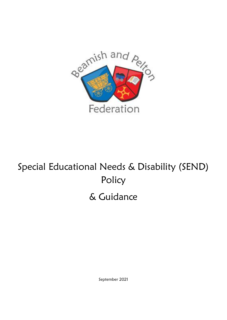

# Special Educational Needs & Disability (SEND) Policy

# & Guidance

September 2021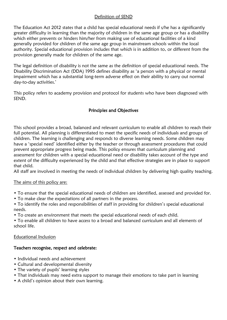#### Definition of SEND

The Education Act 2012 states that a child has special educational needs if s/he has a significantly greater difficulty in learning than the majority of children in the same age group or has a disability which either prevents or hinders him/her from making use of educational facilities of a kind generally provided for children of the same age group in mainstream schools within the local authority. Special educational provision includes that which is in addition to, or different from the provision generally made for children of the same age.

The legal definition of disability is not the same as the definition of special educational needs. The Disability Discrimination Act (DDA) 1995 defines disability as 'a person with a physical or mental impairment which has a substantial long-term adverse effect on their ability to carry out normal day-to-day activities.'

This policy refers to academy provision and protocol for students who have been diagnosed with SEND.

# Principles and Objectives

This school provides a broad, balanced and relevant curriculum to enable all children to reach their full potential. All planning is differentiated to meet the specific needs of individuals and groups of children. The learning is challenging and responds to diverse learning needs. Some children may have a 'special need' identified either by the teacher or through assessment procedures that could prevent appropriate progress being made. This policy ensures that curriculum planning and assessment for children with a special educational need or disability takes account of the type and extent of the difficulty experienced by the child and that effective strategies are in place to support that child.

All staff are involved in meeting the needs of individual children by delivering high quality teaching.

#### The aims of this policy are:

- To ensure that the special educational needs of children are identified, assessed and provided for.
- To make clear the expectations of all partners in the process.
- To identify the roles and responsibilities of staff in providing for children's special educational needs.
- To create an environment that meets the special educational needs of each child.

• To enable all children to have access to a broad and balanced curriculum and all elements of school life.

#### Educational Inclusion

#### Teachers recognise, respect and celebrate:

- Individual needs and achievement
- Cultural and developmental diversity
- The variety of pupils' learning styles
- That individuals may need extra support to manage their emotions to take part in learning
- A child's opinion about their own learning.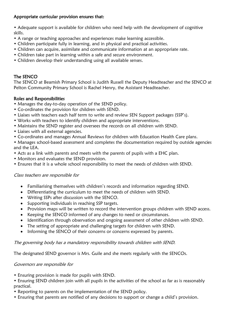# Appropriate curricular provision ensures that:

• Adequate support is available for children who need help with the development of cognitive skills.

- A range or teaching approaches and experiences make learning accessible.
- Children participate fully in learning, and in physical and practical activities.
- Children can acquire, assimilate and communicate information at an appropriate rate.
- Children take part in learning within a safe and secure environment.
- Children develop their understanding using all available senses.

# The SENCO

The SENCO at Beamish Primary School is Judith Russell the Deputy Headteacher and the SENCO at Pelton Community Primary School is Rachel Henry, the Assistant Headteacher.

#### Roles and Responsibilities

- Manages the day-to-day operation of the SEND policy.
- Co-ordinates the provision for children with SEND.
- Liaises with teachers each half term to write and review SEN Support packages (SSP's).
- Works with teachers to identify children and appropriate interventions.
- Maintains the SEND register and oversees the records on all children with SEND.
- Liaises with all external agencies.
- Co-ordinates and manages Annual Reviews for children with Education Health Care plans.
- Manages school-based assessment and completes the documentation required by outside agencies and the LEA.
- Acts as a link with parents and meets with the parents of pupils with a EHC plan.
- Monitors and evaluates the SEND provision.
- Ensures that it is a whole school responsibility to meet the needs of children with SEND.

#### Class teachers are responsible for

- Familiarising themselves with children's records and information regarding SEND.
- Differentiating the curriculum to meet the needs of children with SEND.
- Writing SSPs after discussion with the SENCO.
- Supporting individuals in reaching SSP targets.
- Provision maps will be written to record the intervention groups children with SEND access.
- Keeping the SENCO informed of any changes to need or circumstances.
- Identification through observation and ongoing assessment of other children with SEND.
- The setting of appropriate and challenging targets for children with SEND.
- Informing the SENCO of their concerns or concerns expressed by parents.

#### The governing body has a mandatory responsibility towards children with SEND.

The designated SEND governor is Mrs. Guile and she meets regularly with the SENCOs.

#### Governors are responsible for

- Ensuring provision is made for pupils with SEND.
- Ensuring SEND children join with all pupils in the activities of the school as far as is reasonably practical.
- Reporting to parents on the implementation of the SEND policy.
- Ensuring that parents are notified of any decisions to support or change a child's provision.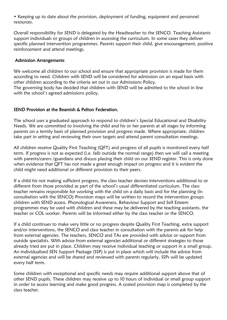• Keeping up to date about the provision, deployment of funding, equipment and personnel resources.

Overall responsibility for SEND is delegated by the Headteacher to the SENCO. Teaching Assistants support individuals or groups of children in accessing the curriculum. In some cases they deliver specific planned intervention programmes. Parents support their child, give encouragement, positive reinforcement and attend meetings.

#### Admission Arrangements

We welcome all children to our school and ensure that appropriate provision is made for them according to need. Children with SEND will be considered for admission on an equal basis with other children according to the criteria set out in our Admissions Policy.

The governing body has decided that children with SEND will be admitted to the school in line with the school's agreed admissions policy.

#### SEND Provision at the Beamish & Pelton Federation.

The school uses a graduated approach to respond to children's Special Educational and Disability Needs. We are committed to involving the child and his or her parents at all stages by informing parents on a termly basis of planned provision and progress made. Where appropriate, children take part in setting and reviewing their own targets and attend parent consultation meetings.

All children receive Quality First Teaching (QFT) and progress of all pupils is monitored every half term. If progress is not as expected (i.e. falls outside the normal range) then we will call a meeting with parents/carers /guardians and discuss placing their child on our SEND register. This is only done when evidence that QFT has not made a great enough impact on progress and it is evident the child might need additional or different provision to their peers.

If a child his not making sufficient progress, the class teacher devises interventions additional to or different from those provided as part of the school's usual differentiated curriculum. The class teacher remains responsible for working with the child on a daily basis and for the planning (in consultation with the SENCO) Provision maps will be written to record the intervention groups children with SEND access. Phonological Awareness, Behaviour Support and Self Esteem programmes may be used with children and these may be delivered by the teaching assistants, the teacher or COL worker. Parents will be informed either by the class teacher or the SENCO.

If a child continues to make very little or no progress despite Quality First Teaching, extra support and/or interventions, the SENCO and class teacher in consultation with the parents ask for help from external agencies. The teachers, SENCO and TAs are provided with advice or support from outside specialists. With advice from external agencies additional or different strategies to those already tried are put in place. Children may receive individual teaching or support in a small group. An individualised SEN Support Package (SSP) is put in place which will include the advice from external agencies and will be shared and reviewed with parents regularly. SSPs will be updated every half term.

Some children with exceptional and specific needs may require additional support above that of other SEND pupils. These children may receive up to 10 hours of individual or small group support in order to access learning and make good progress. A costed provision map is completed by the class teacher.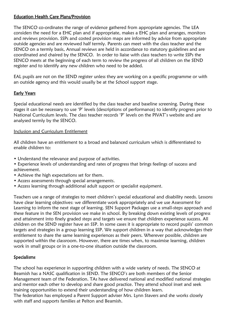# Education Health Care Plans/Provision

The SENCO co-ordinates the range of evidence gathered from appropriate agencies. The LEA considers the need for a EHC plan and if appropriate, makes a EHC plan and arranges, monitors and reviews provision. SSPs and costed provision maps are informed by advice from appropriate outside agencies and are reviewed half termly. Parents can meet with the class teacher and the SENCO on a termly basis. Annual reviews are held in accordance to statutory guidelines and are coordinated and chaired by the SENCO. In order to liaise with class teachers to write SSPs the SENCO meets at the beginning of each term to review the progress of all children on the SEND register and to identify any new children who need to be added.

EAL pupils are not on the SEND register unless they are working on a specific programme or with an outside agency and this would usually be at the School support stage.

# Early Years

Special educational needs are identified by the class teacher and baseline screening. During these stages it can be necessary to use 'P' levels (descriptions of performance) to identify progress prior to National Curriculum levels. The class teacher records 'P' levels on the PIVAT's website and are analysed termly by the SENCO.

#### Inclusion and Curriculum Entitlement

All children have an entitlement to a broad and balanced curriculum which is differentiated to enable children to:

- Understand the relevance and purpose of activities.
- Experience levels of understanding and rates of progress that brings feelings of success and achievement.
- Achieve the high expectations set for them.
- Access assessments through special arrangements.
- Access learning through additional adult support or specialist equipment.

Teachers use a range of strategies to meet children's special educational and disability needs. Lessons have clear learning objectives: we differentiate work appropriately and we use Assessment for Learning to inform the next stage of learning. SEN Support Packages use a small-steps approach and these feature in the SEN provision we make in school. By breaking down existing levels of progress and attainment into finely graded steps and targets we ensure that children experience success. All children on the SEND register have an SSP. In some cases it is appropriate to record pupils' common targets and strategies in a group learning SSP. We support children in a way that acknowledges their entitlement to share the same learning experiences as their peers. Wherever possible, children are supported within the classroom. However, there are times when, to maximise learning, children work in small groups or in a one-to-one situation outside the classroom.

#### Specialisms

The school has experience in supporting children with a wide variety of needs. The SENCO at Beamish has a NASC qualification in SEND. The SENCO's are both members of the Senior Management team of the Federation. TAs have delivered national and modified national strategies and mentor each other to develop and share good practice. They attend school inset and seek training opportunities to extend their understanding of how children learn.

The federation has employed a Parent Support adviser Mrs. Lynn Stavers and she works closely with staff and supports families at Pelton and Beamish.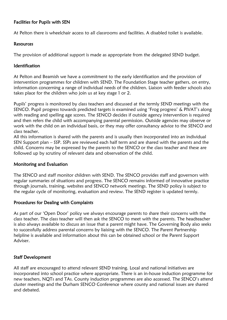#### Facilities for Pupils with SEN

At Pelton there is wheelchair access to all classrooms and facilities. A disabled toilet is available.

#### **Resources**

The provision of additional support is made as appropriate from the delegated SEND budget.

#### Identification

At Pelton and Beamish we have a commitment to the early identification and the provision of intervention programmes for children with SEND. The Foundation Stage teacher gathers, on entry, information concerning a range of individual needs of the children. Liaison with feeder schools also takes place for the children who join us at key stage 1 or 2.

Pupils' progress is monitored by class teachers and discussed at the termly SEND meetings with the SENCO. Pupil progress towards predicted targets is examined using 'Frog progress' & PIVAT's along with reading and spelling age scores. The SENCO decides if outside agency intervention is required and then refers the child with accompanying parental permission. Outside agencies may observe or work with the child on an individual basis, or they may offer consultancy advice to the SENCO and class teacher.

All this information is shared with the parents and is usually then incorporated into an individual SEN Support plan – SSP. SSPs are reviewed each half term and are shared with the parents and the child. Concerns may be expressed by the parents to the SENCO or the class teacher and these are followed up by scrutiny of relevant data and observation of the child.

#### Monitoring and Evaluation

The SENCO and staff monitor children with SEND. The SENCO provides staff and governors with regular summaries of situations and progress. The SENCO remains informed of innovative practice through journals, training, websites and SENCO network meetings. The SEND policy is subject to the regular cycle of monitoring, evaluation and review. The SEND register is updated termly.

#### Procedures for Dealing with Complaints

As part of our 'Open Door' policy we always encourage parents to share their concerns with the class teacher. The class teacher will then ask the SENCO to meet with the parents. The headteacher is also always available to discuss an issue that a parent might have. The Governing Body also seeks to successfully address parental concerns by liaising with the SENCO. The Parent Partnership helpline is available and information about this can be obtained school or the Parent Support Adviser.

#### Staff Development

All staff are encouraged to attend relevant SEND training. Local and national initiatives are incorporated into school practice where appropriate. There is an in-house induction programme for new teachers, NQTs and TAs. County induction programmes are also accessed. The SENCO's attend cluster meetings and the Durham SENCO Conference where county and national issues are shared and debated.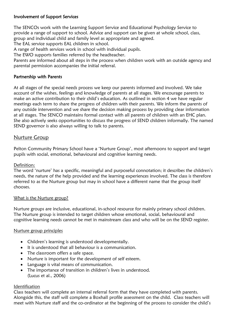#### Involvement of Support Services

The SENCOs work with the Learning Support Service and Educational Psychology Service to provide a range of support to school. Advice and support can be given at whole school, class, group and individual child and family level as appropriate and agreed.

The EAL service supports EAL children in school.

A range of health services work in school with individual pupils.

The EWO supports families referred by the headteacher.

Parents are informed about all steps in the process when children work with an outside agency and parental permission accompanies the initial referral.

#### Partnership with Parents

At all stages of the special needs process we keep our parents informed and involved. We take account of the wishes, feelings and knowledge of parents at all stages. We encourage parents to make an active contribution to their child's education. As outlined in section 4 we have regular meetings each term to share the progress of children with their parents. We inform the parents of any outside intervention and we share the decision making process by providing clear information at all stages. The SENCO maintains formal contact with all parents of children with an EHC plan. She also actively seeks opportunities to discuss the progress of SEND children informally. The named SEND governor is also always willing to talk to parents.

#### Nurture Group

Pelton Community Primary School have a 'Nurture Group', most afternoons to support and target pupils with social, emotional, behavioural and cognitive learning needs.

#### Definition:

The word 'nurture' has a specific, meaningful and purposeful connotation; it describes the children's needs, the nature of the help provided and the learning experiences involved. The class is therefore referred to as the Nurture group but may in school have a different name that the group itself chooses.

#### What is the Nurture group?

Nurture groups are inclusive, educational, in-school resource for mainly primary school children. The Nurture group is intended to target children whose emotional, social, behavioural and cognitive learning needs cannot be met in mainstream class and who will be on the SEND register.

#### Nurture group principles

- Children's learning is understood developmentally.
- It is understood that all behaviour is a communication.
- The classroom offers a safe space.
- Nurture is important for the development of self esteem.
- Language is vital means of communication.
- The importance of transition in children's lives in understood. (Lucus et al., 2006)

#### Identification

Class teachers will complete an internal referral form that they have completed with parents. Alongside this, the staff will complete a Boxhall profile assessment on the child. Class teachers will meet with Nurture staff and the co-ordinator at the beginning of the process to consider the child's